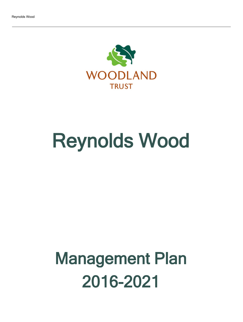

# Reynolds Wood

## Management Plan 2016-2021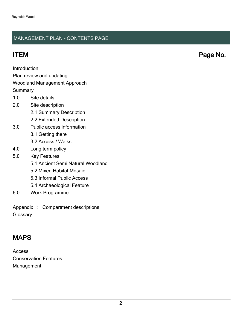### MANAGEMENT PLAN - CONTENTS PAGE

ITEM Page No.

Introduction

Plan review and updating

#### Woodland Management Approach

**Summary** 

- 1.0 Site details
- 2.0 Site description
	- 2.1 Summary Description
	- 2.2 Extended Description
- 3.0 Public access information
	- 3.1 Getting there
	- 3.2 Access / Walks
- 4.0 Long term policy
- 5.0 Key Features
	- 5.1 Ancient Semi Natural Woodland
	- 5.2 Mixed Habitat Mosaic
	- 5.3 Informal Public Access
	- 5.4 Archaeological Feature
- 6.0 Work Programme

Appendix 1: Compartment descriptions **Glossary** 

## MAPS

Access Conservation Features Management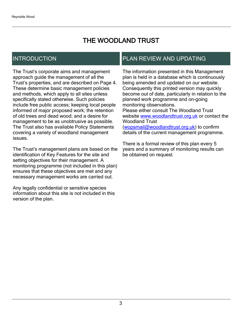## THE WOODLAND TRUST

## INTRODUCTION

The Trust's corporate aims and management approach guide the management of all the Trust's properties, and are described on Page 4. These determine basic management policies and methods, which apply to all sites unless specifically stated otherwise. Such policies include free public access; keeping local people informed of major proposed work; the retention of old trees and dead wood; and a desire for management to be as unobtrusive as possible. The Trust also has available Policy Statements covering a variety of woodland management issues.

The Trust's management plans are based on the identification of Key Features for the site and setting objectives for their management. A monitoring programme (not included in this plan) ensures that these objectives are met and any necessary management works are carried out.

Any legally confidential or sensitive species information about this site is not included in this version of the plan.

## PLAN REVIEW AND UPDATING

The information presented in this Management plan is held in a database which is continuously being amended and updated on our website. Consequently this printed version may quickly become out of date, particularly in relation to the planned work programme and on-going monitoring observations. Please either consult The Woodland Trust website [www.woodlandtrust.org.uk](http://www.woodlandtrust.org.uk/) or contact the Woodland Trust [\(wopsmail@woodlandtrust.org.uk](mailto:wopsmail@woodlandtrust.org.uk)) to confirm

details of the current management programme.

There is a formal review of this plan every 5 years and a summary of monitoring results can be obtained on request.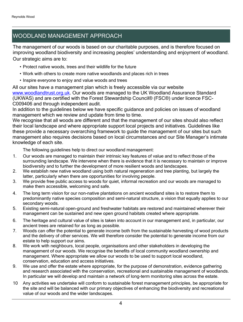## WOODLAND MANAGEMENT APPROACH

The management of our woods is based on our charitable purposes, and is therefore focused on improving woodland biodiversity and increasing peoples' understanding and enjoyment of woodland. Our strategic aims are to:

- Protect native woods, trees and their wildlife for the future
- Work with others to create more native woodlands and places rich in trees
- Inspire everyone to enjoy and value woods and trees

All our sites have a management plan which is freely accessible via our website [www.woodlandtrust.org.uk.](http://www.woodlandtrust.org.uk/) Our woods are managed to the UK Woodland Assurance Standard (UKWAS) and are certified with the Forest Stewardship Council® (FSC®) under licence FSC-C009406 and through independent audit.

In addition to the guidelines below we have specific guidance and policies on issues of woodland management which we review and update from time to time.

We recognise that all woods are different and that the management of our sites should also reflect their local landscape and where appropriate support local projects and initiatives. Guidelines like these provide a necessary overarching framework to guide the management of our sites but such management also requires decisions based on local circumstances and our Site Manager's intimate knowledge of each site.

The following guidelines help to direct our woodland management:

- 1. Our woods are managed to maintain their intrinsic key features of value and to reflect those of the surrounding landscape. We intervene when there is evidence that it is necessary to maintain or improve biodiversity and to further the development of more resilient woods and landscapes.
- 2. We establish new native woodland using both natural regeneration and tree planting, but largely the latter, particularly when there are opportunities for involving people.
- 3. We provide free public access to woods for quiet, informal recreation and our woods are managed to make them accessible, welcoming and safe.
- 4. The long term vision for our non-native plantations on ancient woodland sites is to restore them to predominantly native species composition and semi-natural structure, a vision that equally applies to our secondary woods.
- 5. Existing semi-natural open-ground and freshwater habitats are restored and maintained wherever their management can be sustained and new open ground habitats created where appropriate.
- 6. The heritage and cultural value of sites is taken into account in our management and, in particular, our ancient trees are retained for as long as possible.
- 7. Woods can offer the potential to generate income both from the sustainable harvesting of wood products and the delivery of other services. We will therefore consider the potential to generate income from our estate to help support our aims.
- 8. We work with neighbours, local people, organisations and other stakeholders in developing the management of our woods. We recognise the benefits of local community woodland ownership and management. Where appropriate we allow our woods to be used to support local woodland, conservation, education and access initiatives.
- 9. We use and offer the estate where appropriate, for the purpose of demonstration, evidence gathering and research associated with the conservation, recreational and sustainable management of woodlands. In particular we will develop and maintain a network of long-term monitoring sites across the estate.
- 10 Any activities we undertake will conform to sustainable forest management principles, be appropriate for the site and will be balanced with our primary objectives of enhancing the biodiversity and recreational value of our woods and the wider landscapes.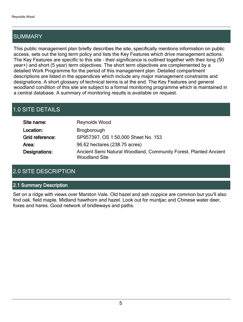## SUMMARY

This public management plan briefly describes the site, specifically mentions information on public access, sets out the long term policy and lists the Key Features which drive management actions. The Key Features are specific to this site - their significance is outlined together with their long (50 year+) and short (5 year) term objectives. The short term objectives are complemented by a detailed Work Programme for the period of this management plan. Detailed compartment descriptions are listed in the appendices which include any major management constraints and designations. A short glossary of technical terms is at the end. The Key Features and general woodland condition of this site are subject to a formal monitoring programme which is maintained in a central database. A summary of monitoring results is available on request.

## 1.0 SITE DETAILS

| Site name:      | Reynolds Wood                                                                            |
|-----------------|------------------------------------------------------------------------------------------|
| Location:       | <b>Brogborough</b>                                                                       |
| Grid reference: | SP957397, OS 1:50,000 Sheet No. 153                                                      |
| Area:           | 96.62 hectares (238.75 acres)                                                            |
| Designations:   | Ancient Semi Natural Woodland, Community Forest, Planted Ancient<br><b>Woodland Site</b> |

## 2.0 SITE DESCRIPTION

#### 2.1 Summary Description

Set on a ridge with views over Marston Vale. Old hazel and ash coppice are common but you'll also find oak, field maple, Midland hawthorn and hazel. Look out for muntjac and Chinese water deer, foxes and hares. Good network of bridleways and paths.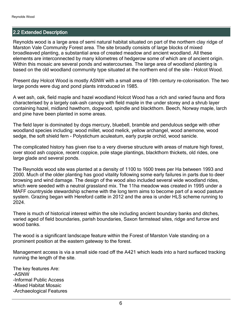#### 2.2 Extended Description

Reynolds wood is a large area of semi natural habitat situated on part of the northern clay ridge of Marston Vale Community Forest area. The site broadly consists of large blocks of mixed broadleaved planting, a substantial area of created meadow and ancient woodland. All these elements are interconnected by many kilometres of hedgerow some of which are of ancient origin. Within this mosaic are several ponds and watercourses. The large area of woodland planting is based on the old woodland community type situated at the northern end of the site - Holcot Wood.

Present day Holcot Wood is mostly ASNW with a small area of 19th century re-colonisation. The two large ponds were dug and pond plants introduced in 1985.

A wet ash, oak, field maple and hazel woodland Holcot Wood has a rich and varied fauna and flora characterised by a largely oak-ash canopy with field maple in the under storey and a shrub layer containing hazel, midland hawthorn, dogwood, spindle and blackthorn. Beech, Norway maple, larch and pine have been planted in some areas.

The field layer is dominated by dogs mercury, bluebell, bramble and pendulous sedge with other woodland species including: wood millet, wood melick, yellow archangel, wood anemone, wood sedge, the soft shield fern - Polystichum aculeatum, early purple orchid, wood sanicle.

The complicated history has given rise to a very diverse structure with areas of mature high forest, over stood ash coppice, recent coppice, pole stage plantings, blackthorn thickets, old rides, one large glade and several ponds.

The Reynolds wood site was planted at a density of 1100 to 1600 trees per Ha between 1993 and 2000. Much of the older planting has good vitality following some early failures in parts due to deer browsing and wind damage. The design of the wood also included several wide woodland rides, which were seeded with a neutral grassland mix. The 11ha meadow was created in 1995 under a MAFF countryside stewardship scheme with the long term aims to become part of a wood pasture system. Grazing began with Hereford cattle in 2012 and the area is under HLS scheme running to 2024.

There is much of historical interest within the site including ancient boundary banks and ditches, varied aged of field boundaries, parish boundaries, Saxon farmstead sites, ridge and furrow and wood banks.

The wood is a significant landscape feature within the Forest of Marston Vale standing on a prominent position at the eastern gateway to the forest.

Management access is via a small side road off the A421 which leads into a hard surfaced tracking running the length of the site.

The key features Are: -ASNW -Informal Public Access -Mixed Habitat Mosaic -Archaeological Features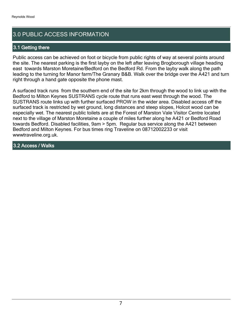## 3.0 PUBLIC ACCESS INFORMATION

#### 3.1 Getting there

Public access can be achieved on foot or bicycle from public rights of way at several points around the site. The nearest parking is the first layby on the left after leaving Brogborough village heading east towards Marston Moretaine/Bedford on the Bedford Rd. From the layby walk along the path leading to the turning for Manor farm/The Granary B&B. Walk over the bridge over the A421 and turn right through a hand gate opposite the phone mast.

A surfaced track runs from the southern end of the site for 2km through the wood to link up with the Bedford to Milton Keynes SUSTRANS cycle route that runs east west through the wood. The SUSTRANS route links up with further surfaced PROW in the wider area. Disabled access off the surfaced track is restricted by wet ground, long distances and steep slopes, Holcot wood can be especially wet. The nearest public toilets are at the Forest of Marston Vale Visitor Centre located next to the village of Marston Moretaine a couple of miles further along he A421 or Bedford Road towards Bedford. Disabled facilities, 9am > 5pm. Regular bus service along the A421 between Bedford and Milton Keynes. For bus times ring Traveline on 08712002233 or visit wwwtraveline.org.uk.

#### 3.2 Access / Walks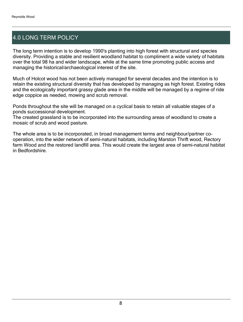## 4.0 LONG TERM POLICY

The long term intention is to develop 1990's planting into high forest with structural and species diversity. Providing a stable and resilient woodland habitat to compliment a wide variety of habitats over the total 98 ha and wider landscape, while at the same time promoting public access and managing the historical/archaeological interest of the site.

Much of Holcot wood has not been actively managed for several decades and the intention is to retain the existing structural diversity that has developed by managing as high forest. Existing rides and the ecologically important grassy glade area in the middle will be managed by a regime of ride edge coppice as needed, mowing and scrub removal.

Ponds throughout the site will be managed on a cyclical basis to retain all valuable stages of a ponds successional development.

The created grassland is to be incorporated into the surrounding areas of woodland to create a mosaic of scrub and wood pasture.

The whole area is to be incorporated, in broad management terms and neighbour/partner cooperation, into the wider network of semi-natural habitats, including Marston Thrift wood, Rectory farm Wood and the restored landfill area. This would create the largest area of semi-natural habitat in Bedfordshire.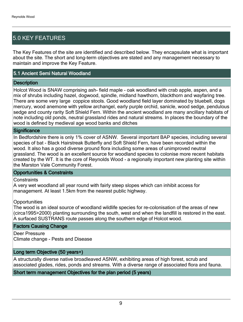## 5.0 KEY FEATURES

The Key Features of the site are identified and described below. They encapsulate what is important about the site. The short and long-term objectives are stated and any management necessary to maintain and improve the Key Feature.

#### 5.1 Ancient Semi Natural Woodland

#### **Description**

Holcot Wood is SNAW comprising ash- field maple - oak woodland with crab apple, aspen, and a mix of shrubs including hazel, dogwood, spindle, midland hawthorn, blackthorn and wayfaring tree. There are some very large coppice stools. Good woodland field layer dominated by bluebell, dogs mercury, wood anemone with yellow archangel, early purple orchid, sanicle, wood sedge, pendulous sedge and county rarity Soft Shield Fern. Within the ancient woodland are many ancillary habitats of note including old ponds, neutral grassland rides and natural streams. In places the boundary of the wood is defined by medieval age wood banks and ditches

#### **Significance**

In Bedfordshire there is only 1% cover of ASNW. Several important BAP species, including several species of bat - Black Hairstreak Butterfly and Soft Shield Fern, have been recorded within the wood. It also has a good diverse ground flora including some areas of unimproved neutral grassland. The wood is an excellent source for woodland species to colonise more recent habitats created by the WT. It is the core of Reynolds Wood - a regionally important new planting site within the Marston Vale Community Forest.

#### Opportunities & Constraints

**Constraints** 

A very wet woodland all year round with fairly steep slopes which can inhibit access for management. At least 1.5km from the nearest public highway.

#### **Opportunities**

The wood is an ideal source of woodland wildlife species for re-colonisation of the areas of new (circa1995>2000) planting surrounding the south, west and when the landfill is restored in the east. A surfaced SUSTRANS route passes along the southern edge of Holcot wood.

#### Factors Causing Change

Deer Pressure Climate change - Pests and Disease

#### Long term Objective (50 years+)

A structurally diverse native broadleaved ASNW, exhibiting areas of high forest, scrub and associated glades, rides, ponds and streams. With a diverse range of associated flora and fauna.

#### Short term management Objectives for the plan period (5 years)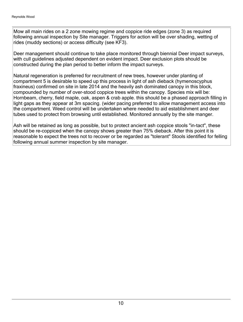Mow all main rides on a 2 zone mowing regime and coppice ride edges (zone 3) as required following annual inspection by Site manager. Triggers for action will be over shading, wetting of rides (muddy sections) or access difficulty (see KF3).

Deer management should continue to take place monitored through biennial Deer impact surveys, with cull guidelines adjusted dependent on evident impact. Deer exclusion plots should be constructed during the plan period to better inform the impact surveys.

Natural regeneration is preferred for recruitment of new trees, however under planting of compartment 5 is desirable to speed up this process in light of ash dieback (hymenoscyphus fraxineus) confirmed on site in late 2014 and the heavily ash dominated canopy in this block, compounded by number of over-stood coppice trees within the canopy. Species mix will be: Hornbeam, cherry, field maple, oak, aspen & crab apple. this should be a phased approach filling in light gaps as they appear at 3m spacing. (wider pacing preferred to allow management access into the compartment. Weed control will be undertaken where needed to aid establishment and deer tubes used to protect from browsing until established. Monitored annually by the site manger.

Ash will be retained as long as possible, but to protect ancient ash coppice stools "in-tact", these should be re-coppiced when the canopy shows greater than 75% dieback. After this point it is reasonable to expect the trees not to recover or be regarded as "tolerant" Stools identified for felling following annual summer inspection by site manager.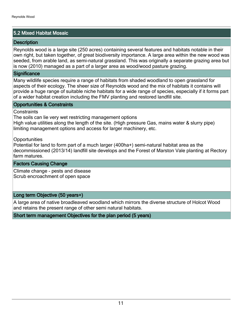#### 5.2 Mixed Habitat Mosaic

#### **Description**

Reynolds wood is a large site (250 acres) containing several features and habitats notable in their own right, but taken together, of great biodiversity importance. A large area within the new wood was seeded, from arable land, as semi-natural grassland. This was originally a separate grazing area but is now (2010) managed as a part of a larger area as wood/wood pasture grazing.

#### **Significance**

Many wildlife species require a range of habitats from shaded woodland to open grassland for aspects of their ecology. The sheer size of Reynolds wood and the mix of habitats it contains will provide a huge range of suitable niche habitats for a wide range of species, especially if it forms part of a wider habitat creation including the FMV planting and restored landfill site.

#### Opportunities & Constraints

#### **Constraints**

The soils can lie very wet restricting management options

High value utilities along the length of the site. (High pressure Gas, mains water & slurry pipe) limiting management options and access for larger machinery, etc.

**Opportunities** 

Potential for land to form part of a much larger (400ha+) semi-natural habitat area as the decommissioned (2013/14) landfill site develops and the Forest of Marston Vale planting at Rectory farm matures.

Factors Causing Change

Climate change - pests and disease Scrub encroachment of open space

#### Long term Objective (50 years+)

A large area of native broadleaved woodland which mirrors the diverse structure of Holcot Wood and retains the present range of other semi natural habitats.

Short term management Objectives for the plan period (5 years)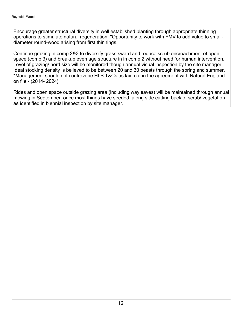Encourage greater structural diversity in well established planting through appropriate thinning operations to stimulate natural regeneration. \*Opportunity to work with FMV to add value to smalldiameter round-wood arising from first thinnings.

Continue grazing in comp 2&3 to diversify grass sward and reduce scrub encroachment of open space (comp 3) and breakup even age structure in in comp 2 without need for human intervention. Level of grazing/ herd size will be monitored though annual visual inspection by the site manager. Ideal stocking density is believed to be between 20 and 30 beasts through the spring and summer. \*Management should not contravene HLS T&Cs as laid out in the agreement with Natural England on file - (2014- 2024)

Rides and open space outside grazing area (including wayleaves) will be maintained through annual mowing in September, once most things have seeded, along side cutting back of scrub/ vegetation as identified in biennial inspection by site manager.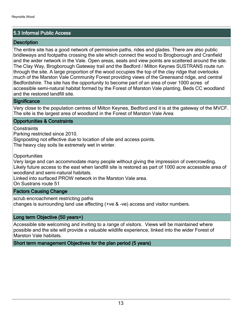#### 5.3 Informal Public Access

#### **Description**

The entire site has a good network of permissive paths, rides and glades. There are also public bridleways and footpaths crossing the site which connect the wood to Brogborough and Cranfield and the wider network in the Vale. Open areas, seats and view points are scattered around the site. The Clay Way, Brogborough Gateway trail and the Bedford / Milton Keynes SUSTRANS route run through the site. A large proportion of the wood occupies the top of the clay ridge that overlooks much of the Marston Vale Community Forest providing views of the Greensand ridge, and central Bedfordshire. The site has the opportunity to become part of an area of over 1000 acres of accessible semi-natural habitat formed by the Forest of Marston Vale planting, Beds CC woodland and the restored landfill site.

#### **Significance**

Very close to the population centres of Milton Keynes, Bedford and it is at the gateway of the MVCF. The site is the largest area of woodland in the Forest of Marston Vale Area

#### Opportunities & Constraints

Constraints

Parking restricted since 2010.

Signposting not effective due to location of site and access points.

The heavy clay soils lie extremely wet in winter.

**Opportunities** 

Very large and can accommodate many people without giving the impression of overcrowding. Likely future access to the east when landfill site is restored as part of 1000 acre accessible area of woodland and semi-natural habitats.

Linked into surfaced PROW network in the Marston Vale area.

On Sustrans route 51

#### Factors Causing Change

scrub encroachment restricting paths changes is surrounding land use affecting (+ve & -ve) access and visitor numbers.

#### Long term Objective (50 years+)

Accessible site welcoming and inviting to a range of visitors. Views will be maintained where possible and the site will provide a valuable wildlife experience, linked into the wider Forest of Marston Vale habitats.

Short term management Objectives for the plan period (5 years)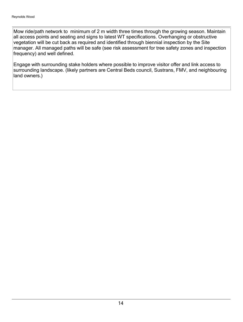Mow ride/path network to minimum of 2 m width three times through the growing season. Maintain all access points and seating and signs to latest WT specifications. Overhanging or obstructive vegetation will be cut back as required and identified through biennial inspection by the Site manager. All managed paths will be safe (see risk assessment for tree safety zones and inspection frequency) and well defined.

Engage with surrounding stake holders where possible to improve visitor offer and link access to surrounding landscape. (likely partners are Central Beds council, Sustrans, FMV, and neighbouring land owners.)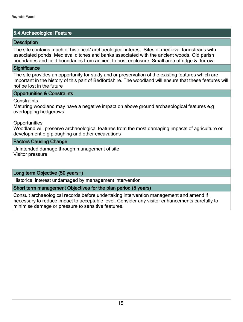#### 5.4 Archaeological Feature

#### **Description**

The site contains much of historical/ archaeological interest. Sites of medieval farmsteads with associated ponds. Medieval ditches and banks associated with the ancient woods. Old parish boundaries and field boundaries from ancient to post enclosure. Small area of ridge & furrow.

#### **Significance**

The site provides an opportunity for study and or preservation of the existing features which are important in the history of this part of Bedfordshire. The woodland will ensure that these features will not be lost in the future

#### Opportunities & Constraints

Constraints.

Maturing woodland may have a negative impact on above ground archaeological features e.g overtopping hedgerows

**Opportunities** 

Woodland will preserve archaeological features from the most damaging impacts of agriculture or development e.g ploughing and other excavations

#### Factors Causing Change

Unintended damage through management of site Visitor pressure

#### Long term Objective (50 years+)

Historical interest undamaged by management intervention

#### Short term management Objectives for the plan period (5 years)

Consult archaeological records before undertaking intervention management and amend if necessary to reduce impact to acceptable level. Consider any visitor enhancements carefully to minimise damage or pressure to sensitive features.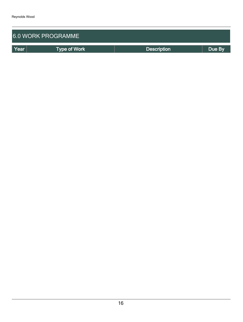| <b>6.0 WORK PROGRAMME</b> |                     |                    |        |  |  |
|---------------------------|---------------------|--------------------|--------|--|--|
| Year                      | <b>Type of Work</b> | <b>Description</b> | Due By |  |  |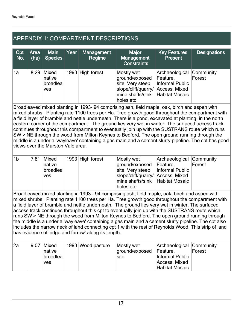## APPENDIX 1: COMPARTMENT DESCRIPTIONS

| Cpt<br>No. | Area<br>(ha) | <b>Main</b><br><b>Species</b>             | Year | <b>Management</b><br>Regime | Major<br><b>Management</b><br><b>Constraints</b>                                                                                      | <b>Key Features</b><br><b>Present</b>                   | <b>Designations</b> |
|------------|--------------|-------------------------------------------|------|-----------------------------|---------------------------------------------------------------------------------------------------------------------------------------|---------------------------------------------------------|---------------------|
| 1a         | 8.29         | Mixed<br>native<br>broadlea<br><b>ves</b> |      | 1993 High forest            | Mostly wet<br>ground/exposed<br>site, Very steep<br>slope/cliff/quarry/ Access, Mixed<br>mine shafts/sink Habitat Mosaic<br>holes etc | Archaeological Community<br>Feature,<br>Informal Public | Forest              |

Broadleaved mixed planting in 1993- 94 comprising ash, field maple, oak, birch and aspen with mixed shrubs. Planting rate 1100 trees per Ha. Tree growth good throughout the compartment with a field layer of bramble and nettle underneath. There is a pond, excavated at planting, in the north eastern corner of the compartment. The ground lies very wet in winter. The surfaced access track continues throughout this compartment to eventually join up with the SUSTRANS route which runs SW > NE through the wood from Milton Keynes to Bedford. The open ground running through the middle is a under a 'wayleave' containing a gas main and a cement slurry pipeline. The cpt has good views over the Marston Vale area.

| 1 <sup>b</sup> | 7.81 | Mixed<br><b>Inative</b><br><b>broadlea</b><br><b>ves</b> | 1993 High forest | Mostly wet<br>ground/exposed Feature,<br>site, Very steep   Informal Public<br>slope/cliff/quarry/ Access, Mixed | Archaeological Community | Forest |
|----------------|------|----------------------------------------------------------|------------------|------------------------------------------------------------------------------------------------------------------|--------------------------|--------|
|                |      |                                                          |                  | mine shafts/sink Habitat Mosaic                                                                                  |                          |        |
|                |      |                                                          |                  | holes etc                                                                                                        |                          |        |

Broadleaved mixed planting in 1993 - 94 comprising ash, field maple, oak, birch and aspen with mixed shrubs. Planting rate 1100 trees per Ha. Tree growth good throughout the compartment with a field layer of bramble and nettle underneath. The ground lies very wet in winter. The surfaced access track continues throughout this cpt to eventually join up with the SUSTRANS route which runs SW > NE through the wood from Milton Keynes to Bedford. The open ground running through the middle is a under a 'wayleave' containing a gas main and a cement slurry pipeline. The cpt also includes the narrow neck of land connecting cpt 1 with the rest of Reynolds Wood. This strip of land has evidence of 'ridge and furrow' along its length.

| l2a | 9.07<br> Mixed<br><b>Inative</b><br> broadlea<br><b>ves</b> |  | 1993 Wood pasture | Mostly wet<br>ground/exposed<br>site: | Archaeological Community<br>Feature.<br>Informal Public<br>Access, Mixed<br>Habitat Mosaic | Forest |
|-----|-------------------------------------------------------------|--|-------------------|---------------------------------------|--------------------------------------------------------------------------------------------|--------|
|-----|-------------------------------------------------------------|--|-------------------|---------------------------------------|--------------------------------------------------------------------------------------------|--------|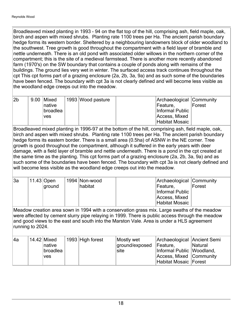Broadleaved mixed planting in 1993 - 94 on the flat top of the hill, comprising ash, field maple, oak, birch and aspen with mixed shrubs. Planting rate 1100 trees per Ha. The ancient parish boundary hedge forms its western border. Sheltered by a neighbouring landowners block of older woodland to the southwest. Tree growth is good throughout the compartment with a field layer of bramble and nettle underneath. There is an old pond with associated older willows in the northern corner of the compartment; this is the site of a medieval farmstead. There is another more recently abandoned farm (1970's) on the SW boundary that contains a couple of ponds along with remains of the buildings. The ground lies very wet in winter. The surfaced access track continues throughout the cpt This cpt forms part of a grazing enclosure (2a, 2b, 3a, 9a) and as such some of the boundaries have been fenced. The boundary with cpt 3a is not clearly defined and will become less visible as the woodland edge creeps out into the meadow.

| 2b | 9.00 Mixed      | 1993 Wood pasture | Archaeological Community |        |
|----|-----------------|-------------------|--------------------------|--------|
|    | <b>Inative</b>  |                   | Feature.                 | Forest |
|    | <b>broadlea</b> |                   | Informal Public          |        |
|    | <b>ves</b>      |                   | Access, Mixed            |        |
|    |                 |                   | Habitat Mosaic           |        |

Broadleaved mixed planting in 1996-97 at the bottom of the hill, comprising ash, field maple, oak, birch and aspen with mixed shrubs. Planting rate 1100 trees per Ha. The ancient parish boundary hedge forms its eastern border. There is a small area (0.5ha) of ASNW in the NE corner. Tree growth is good throughout the compartment, although it suffered in the early years with deer damage, with a field layer of bramble and nettle underneath. There is a pond in the cpt created at the same time as the planting. This cpt forms part of a grazing enclosure (2a, 2b, 3a, 9a) and as such some of the boundaries have been fenced. The boundary with cpt 3a is not clearly defined and will become less visible as the woodland edge creeps out into the meadow.

| 3a | $11.43$ Open | . 1994  Non-wood | Archaeological Community |        |
|----|--------------|------------------|--------------------------|--------|
|    | ground       | habitat          | Feature,                 | Forest |
|    |              |                  | Informal Public          |        |
|    |              |                  | Access, Mixed            |        |
|    |              |                  | Habitat Mosaic           |        |

Meadow creation area sown in 1994 with a conservation grass mix. Large swaths of the meadow were affected by cement slurry pipe relaying in 1999. There is public access through the meadow and good views to the east and south into the Marston Vale. Area is under a HLS agreement running to 2024.

| 4a | $14.42$ Mixed<br>Inative      | 1993 High forest | Mostly wet<br>ground/exposed | Archaeological Ancient Semi<br>Feature,              | Natural |
|----|-------------------------------|------------------|------------------------------|------------------------------------------------------|---------|
|    | <b>broadlea</b><br><b>ves</b> |                  | ∣site                        | Informal Public Woodland,<br>Access, Mixed Community |         |
|    |                               |                  |                              | Habitat Mosaic Forest                                |         |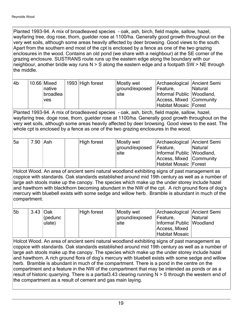Planted 1993-94. A mix of broadleaved species - oak, ash, birch, field maple, sallow, hazel, wayfaring tree, dog rose, thorn, guelder rose at 1100/ha. Generally good growth throughout on the very wet soils, although some areas heavily affected by deer browsing. Good views to the south. Apart from the southern end most of the cpt is enclosed by a fence as one of the two grazing enclosures in the wood. Contains an old pond (we share with a neighbour) at the SE corner of the grazing enclosure. SUSTRANS route runs up the eastern edge along the boundary with our neighbour, another bridle way runs N > S along the eastern edge and a footpath SW > NE through the middle.

| l4b | $10.66$ Mixed   | 1993 High forest | Mostly wet     | Archaeological Ancient Semi |         |
|-----|-----------------|------------------|----------------|-----------------------------|---------|
|     | Inative         |                  | ground/exposed | Feature,                    | Natural |
|     | <b>broadlea</b> |                  | siite          | Informal Public Woodland,   |         |
|     | <b>ves</b>      |                  |                | Access, Mixed Community     |         |
|     |                 |                  |                | Habitat Mosaic Forest       |         |

Planted 1993-94. A mix of broadleaved species - oak, ash, birch, field maple, sallow, hazel, wayfaring tree, doge rose, thorn, guelder rose at 1100/ha. Generally good growth throughout on the very wet soils, although some areas heavily affected by deer browsing. Good views to the east. The whole cpt is enclosed by a fence as one of the two grazing enclosures in the wood.

| <b>5a</b> | 7.90 Ash | High forest | Mostly wet<br>ground/exposed Feature,<br>site | Archaeological Ancient Semi<br>Informal Public Woodland,<br>Access, Mixed Community<br>Habitat Mosaic Forest | <b>Natural</b> |
|-----------|----------|-------------|-----------------------------------------------|--------------------------------------------------------------------------------------------------------------|----------------|
|-----------|----------|-------------|-----------------------------------------------|--------------------------------------------------------------------------------------------------------------|----------------|

Holcot Wood. An area of ancient semi natural woodland exhibiting signs of past management as coppice with standards. Oak standards established around mid 19th century as well as a number of large ash stools make up the canopy. The species which make up the under storey include hazel and hawthorn with blackthorn becoming abundant in the NW of the cpt. A rich ground flora of dog's mercury with bluebell exists with some sedge and willow herb. Bramble is abundant in much of the compartment.

| Access, Mixed<br>Habitat Mosaic | 5b | 3.43 Oak | (pedunc<br>ulate) | High forest | Mostly wet<br>ground/exposed<br>∣site | Archaeological Ancient Semi<br>Feature,<br>Informal Public Woodland | <b>Natural</b> |
|---------------------------------|----|----------|-------------------|-------------|---------------------------------------|---------------------------------------------------------------------|----------------|
|---------------------------------|----|----------|-------------------|-------------|---------------------------------------|---------------------------------------------------------------------|----------------|

Holcot Wood. An area of ancient semi natural woodland exhibiting signs of past management as coppice with standards. Oak standards established around mid 19th century as well as a number of large ash stools make up the canopy. The species which make up the under storey include hazel and hawthorn. A rich ground flora of dog's mercury with bluebell exists with some sedge and willow herb. Bramble is abundant in much of the compartment. There is a pond in the centre on the compartment and a feature in the NW of the compartment that may be intended as ponds or as a result of historic quarrying. There is a partial3.43 clearing running N > S through the western end of the compartment as a result of cement and gas main laying.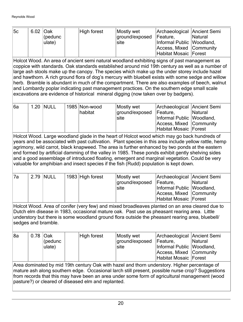| 5c | 6.02 Oak | $ $ (pedunc<br>ulate) | High forest | Mostly wet<br>ground/exposed<br>Isite | Archaeological Ancient Semi<br>Feature.<br>Informal Public Woodland,<br>Access, Mixed Community | <b>Natural</b> |
|----|----------|-----------------------|-------------|---------------------------------------|-------------------------------------------------------------------------------------------------|----------------|
|    |          |                       |             |                                       |                                                                                                 |                |
|    |          |                       |             |                                       | Habitat Mosaic Forest                                                                           |                |

Holcot Wood. An area of ancient semi natural woodland exhibiting signs of past management as coppice with standards. Oak standards established around mid 19th century as well as a number of large ash stools make up the canopy. The species which make up the under storey include hazel and hawthorn. A rich ground flora of dog's mercury with bluebell exists with some sedge and willow herb. Bramble is abundant in much of the compartment. There are also examples of beech, walnut and Lombardy poplar indicating past management practices. On the southern edge small scale excavations are evidence of historical mineral digging (now taken over by badgers).

| 16a | <b>1.20 INULL</b> | 1985 Non-wood<br> habitat | Mostly wet<br>ground/exposed<br>site | Archaeological Ancient Semi<br>Feature,<br>Informal Public   Woodland,<br>Access, Mixed Community | Natural |
|-----|-------------------|---------------------------|--------------------------------------|---------------------------------------------------------------------------------------------------|---------|
|     |                   |                           |                                      | Habitat Mosaic   Forest                                                                           |         |

Holcot Wood. Large woodland glade in the heart of Holcot wood which may go back hundreds of years and be associated with past cultivation. Plant species in this area include yellow rattle, hemp agrimony, wild carrot, black knapweed. The area is further enhanced by two ponds at the eastern end formed by artificial damming of the valley in 1985. These ponds exhibit gently shelving sides and a good assemblage of introduced floating, emergent and marginal vegetation. Could be very valuable for amphibian and insect species if the fish (Rudd) population is kept down.

| '7a |  | 2.79  NULL | $\vert$ 1983 High forest | Mostly wet<br>ground/exposed<br>site | Archaeological Ancient Semi<br>Feature.<br>Informal Public  Woodland, | <b>Natural</b> |
|-----|--|------------|--------------------------|--------------------------------------|-----------------------------------------------------------------------|----------------|
|     |  |            |                          |                                      | Access, Mixed Community                                               |                |
|     |  |            |                          |                                      | Habitat Mosaic Forest                                                 |                |

Holcot Wood. Area of conifer (very few) and mixed broadleaves planted on an area cleared due to Dutch elm disease in 1983, occasional mature oak. Past use as pheasant rearing area. Little understory but there is some woodland ground flora outside the pheasant rearing area, bluebell/ sedges and bramble.

| 8a | 0.78 Oak | $ $ (pedunc<br>ulate) | High forest | Mostly wet<br>ground/exposed<br>∣site | Archaeological Ancient Semi<br>Feature.<br>Informal Public Woodland,<br>Access, Mixed Community<br>Habitat Mosaic Forest | <b>Natural</b> |
|----|----------|-----------------------|-------------|---------------------------------------|--------------------------------------------------------------------------------------------------------------------------|----------------|
|----|----------|-----------------------|-------------|---------------------------------------|--------------------------------------------------------------------------------------------------------------------------|----------------|

Area dominated by mid 19th century Oak with hazel and thorn understory. Higher percentage of mature ash along southern edge. Occasional larch still present, possible nurse crop? Suggestions from records that this may have been an area under some form of agricultural management (wood pasture?) or cleared of diseased elm and replanted.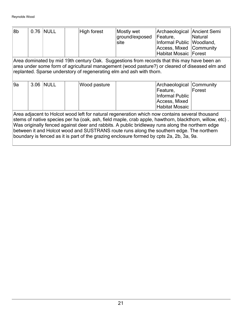| 8b                                                                                                                                                                                                                                                                                                                                                                                                                                                                                                  |                                                                                                                                                                                                                                                                       | 0.76 NULL |  | High forest  | Mostly wet<br>ground/exposed<br>site | Archaeological Ancient Semi<br>Feature,<br>Informal Public   Woodland,<br>Access, Mixed Community<br><b>Habitat Mosaic Forest</b> | <b>Natural</b> |  |  |
|-----------------------------------------------------------------------------------------------------------------------------------------------------------------------------------------------------------------------------------------------------------------------------------------------------------------------------------------------------------------------------------------------------------------------------------------------------------------------------------------------------|-----------------------------------------------------------------------------------------------------------------------------------------------------------------------------------------------------------------------------------------------------------------------|-----------|--|--------------|--------------------------------------|-----------------------------------------------------------------------------------------------------------------------------------|----------------|--|--|
|                                                                                                                                                                                                                                                                                                                                                                                                                                                                                                     | Area dominated by mid 19th century Oak. Suggestions from records that this may have been an<br>area under some form of agricultural management (wood pasture?) or cleared of diseased elm and<br>replanted. Sparse understory of regenerating elm and ash with thorn. |           |  |              |                                      |                                                                                                                                   |                |  |  |
| l9a                                                                                                                                                                                                                                                                                                                                                                                                                                                                                                 |                                                                                                                                                                                                                                                                       | 3.06 NULL |  | Wood pasture |                                      | Archaeological Community<br>Feature,<br>Informal Public<br>Access, Mixed<br><b>Habitat Mosaic</b>                                 | Forest         |  |  |
| Area adjacent to Holcot wood left for natural regeneration which now contains several thousand<br>stems of native species per ha (oak, ash, field maple, crab apple, hawthorn, blackthorn, willow, etc).<br>Was originally fenced against deer and rabbits. A public bridleway runs along the northern edge<br>between it and Holcot wood and SUSTRANS route runs along the southern edge. The northern<br>boundary is fenced as it is part of the grazing enclosure formed by cpts 2a, 2b, 3a, 9a. |                                                                                                                                                                                                                                                                       |           |  |              |                                      |                                                                                                                                   |                |  |  |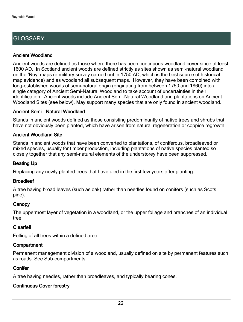## **GLOSSARY**

#### Ancient Woodland

Ancient woods are defined as those where there has been continuous woodland cover since at least 1600 AD. In Scotland ancient woods are defined strictly as sites shown as semi-natural woodland on the 'Roy' maps (a military survey carried out in 1750 AD, which is the best source of historical map evidence) and as woodland all subsequent maps. However, they have been combined with long-established woods of semi-natural origin (originating from between 1750 and 1860) into a single category of Ancient Semi-Natural Woodland to take account of uncertainties in their identification. Ancient woods include Ancient Semi-Natural Woodland and plantations on Ancient Woodland Sites (see below). May support many species that are only found in ancient woodland.

#### Ancient Semi - Natural Woodland

Stands in ancient woods defined as those consisting predominantly of native trees and shrubs that have not obviously been planted, which have arisen from natural regeneration or coppice regrowth.

#### Ancient Woodland Site

Stands in ancient woods that have been converted to plantations, of coniferous, broadleaved or mixed species, usually for timber production, including plantations of native species planted so closely together that any semi-natural elements of the understorey have been suppressed.

#### Beating Up

Replacing any newly planted trees that have died in the first few years after planting.

#### **Broadleaf**

A tree having broad leaves (such as oak) rather than needles found on conifers (such as Scots pine).

#### **Canopy**

The uppermost layer of vegetation in a woodland, or the upper foliage and branches of an individual tree.

#### Clearfell

Felling of all trees within a defined area.

#### **Compartment**

Permanent management division of a woodland, usually defined on site by permanent features such as roads. See Sub-compartments.

#### **Conifer**

A tree having needles, rather than broadleaves, and typically bearing cones.

#### Continuous Cover forestry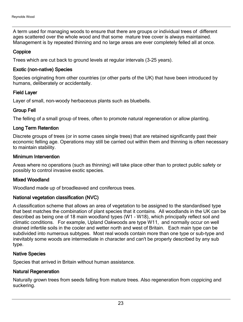A term used for managing woods to ensure that there are groups or individual trees of different ages scattered over the whole wood and that some mature tree cover is always maintained. Management is by repeated thinning and no large areas are ever completely felled all at once.

#### **Coppice**

Trees which are cut back to ground levels at regular intervals (3-25 years).

#### Exotic (non-native) Species

Species originating from other countries (or other parts of the UK) that have been introduced by humans, deliberately or accidentally.

#### Field Layer

Layer of small, non-woody herbaceous plants such as bluebells.

#### Group Fell

The felling of a small group of trees, often to promote natural regeneration or allow planting.

#### Long Term Retention

Discrete groups of trees (or in some cases single trees) that are retained significantly past their economic felling age. Operations may still be carried out within them and thinning is often necessary to maintain stability.

#### Minimum Intervention

Areas where no operations (such as thinning) will take place other than to protect public safety or possibly to control invasive exotic species.

#### Mixed Woodland

Woodland made up of broadleaved and coniferous trees.

#### National vegetation classification (NVC)

A classification scheme that allows an area of vegetation to be assigned to the standardised type that best matches the combination of plant species that it contains. All woodlands in the UK can be described as being one of 18 main woodland types (W1 - W18), which principally reflect soil and climatic conditions. For example, Upland Oakwoods are type W11, and normally occur on well drained infertile soils in the cooler and wetter north and west of Britain. Each main type can be subdivided into numerous subtypes. Most real woods contain more than one type or sub-type and inevitably some woods are intermediate in character and can't be properly described by any sub type.

#### Native Species

Species that arrived in Britain without human assistance.

#### Natural Regeneration

Naturally grown trees from seeds falling from mature trees. Also regeneration from coppicing and suckering.